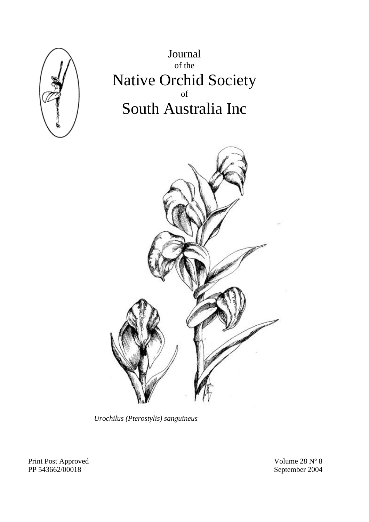

Journal of the Native Orchid Society of South Australia Inc



*Urochilus (Pterostylis) sanguineus* 

Print Post Approved<br>
Print Post Approved<br>
Print Post Approved<br>
Print Post Approved<br>
September 2004<br>
September 2004

September 2004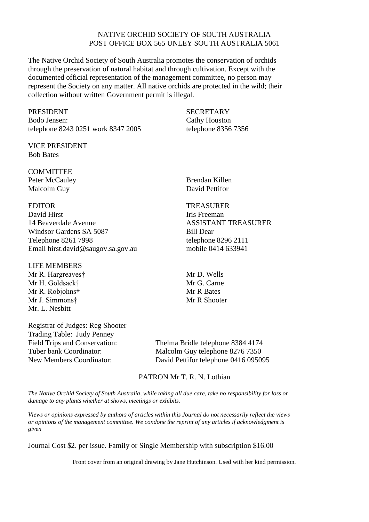#### NATIVE ORCHID SOCIETY OF SOUTH AUSTRALIA POST OFFICE BOX 565 UNLEY SOUTH AUSTRALIA 5061

The Native Orchid Society of South Australia promotes the conservation of orchids through the preservation of natural habitat and through cultivation. Except with the documented official representation of the management committee, no person may represent the Society on any matter. All native orchids are protected in the wild; their collection without written Government permit is illegal.

PRESIDENT SECRETARY Bodo Jensen: Cathy Houston telephone 8243 0251 work 8347 2005 telephone 8356 7356

VICE PRESIDENT Bob Bates

**COMMITTEE** Peter McCauley Brendan Killen Malcolm Guy David Pettifor

David Hirst **Iris** Freeman 14 Beaverdale Avenue ASSISTANT TREASURER Windsor Gardens SA 5087 Bill Dear Telephone 8261 7998 telephone 8296 2111 Email hirst.david@saugov.sa.gov.au mobile 0414 633941

#### LIFE MEMBERS

Mr R. Hargreaves† Mr D. Wells Mr H. Goldsack† Mr G. Carne Mr R. Robiohns† Mr R Bates Mr J. Simmons† Mr R Shooter Mr. L. Nesbitt

Registrar of Judges: Reg Shooter Trading Table: Judy Penney Field Trips and Conservation: Thelma Bridle telephone 8384 4174

#### EDITOR TREASURER

Tuber bank Coordinator: Malcolm Guy telephone 8276 7350 New Members Coordinator: David Pettifor telephone 0416 095095

### PATRON Mr T. R. N. Lothian

*The Native Orchid Society of South Australia, while taking all due care, take no responsibility for loss or damage to any plants whether at shows, meetings or exhibits.* 

*Views or opinions expressed by authors of articles within this Journal do not necessarily reflect the views or opinions of the management committee. We condone the reprint of any articles if acknowledgment is given* 

Journal Cost \$2. per issue. Family or Single Membership with subscription \$16.00

Front cover from an original drawing by Jane Hutchinson. Used with her kind permission.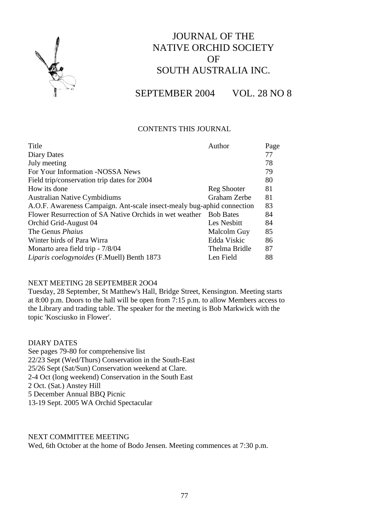

# JOURNAL OF THE NATIVE ORCHID SOCIETY OF SOUTH AUSTRALIA INC.

SEPTEMBER 2004 VOL. 28 NO 8

## CONTENTS THIS JOURNAL

| Title                                                                  | Author           | Page |
|------------------------------------------------------------------------|------------------|------|
| Diary Dates                                                            |                  | 77   |
| July meeting                                                           |                  | 78   |
| For Your Information -NOSSA News                                       |                  | 79   |
| Field trip/conservation trip dates for 2004                            |                  | 80   |
| How its done                                                           | Reg Shooter      | 81   |
| <b>Australian Native Cymbidiums</b>                                    | Graham Zerbe     | 81   |
| A.O.F. Awareness Campaign. Ant-scale insect-mealy bug-aphid connection |                  |      |
| Flower Resurrection of SA Native Orchids in wet weather                | <b>Bob Bates</b> | 84   |
| Orchid Grid-August 04                                                  | Les Nesbitt      | 84   |
| The Genus <i>Phaius</i>                                                | Malcolm Guy      | 85   |
| Winter birds of Para Wirra                                             | Edda Viskic      | 86   |
| Monarto area field trip - 7/8/04                                       | Thelma Bridle    | 87   |
| Liparis coelogynoides (F.Muell) Benth 1873                             | Len Field        | 88   |
|                                                                        |                  | 83   |

## NEXT MEETING 28 SEPTEMBER 2OO4

Tuesday, 28 September, St Matthew's Hall, Bridge Street, Kensington. Meeting starts at 8:00 p.m. Doors to the hall will be open from 7:15 p.m. to allow Members access to the Library and trading table. The speaker for the meeting is Bob Markwick with the topic 'Kosciusko in Flower'.

DIARY DATES See pages 79-80 for comprehensive list 22/23 Sept (Wed/Thurs) Conservation in the South-East 25/26 Sept (Sat/Sun) Conservation weekend at Clare. 2-4 Oct (long weekend) Conservation in the South East 2 Oct. (Sat.) Anstey Hill 5 December Annual BBQ Picnic 13-19 Sept. 2005 WA Orchid Spectacular

### NEXT COMMITTEE MEETING

Wed, 6th October at the home of Bodo Jensen. Meeting commences at 7:30 p.m.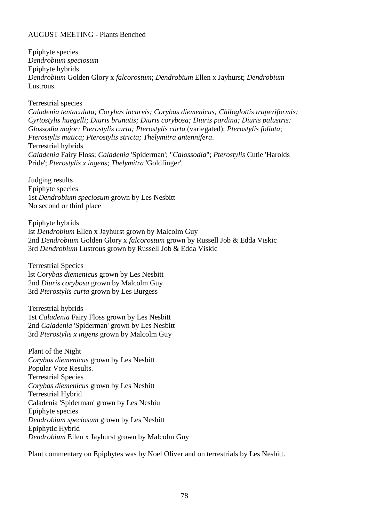## AUGUST MEETING - Plants Benched

Epiphyte species *Dendrobium speciosum* Epiphyte hybrids *Dendrobium* Golden Glory x *falcorostum*; *Dendrobium* Ellen x Jayhurst; *Dendrobium* Lustrous.

Terrestrial species

*Caladenia tentaculata; Corybas incurvis; Corybas diemenicus; Chiloglottis trapeziformis; Cyrtostylis huegelli; Diuris brunatis; Diuris corybosa; Diuris pardina; Diuris palustris: Glossodia major; Pterostylis curta; Pterostylis curta* (variegated); *Pterostylis foliata*; *Pterostylis mutica; Pterostylis stricta; Thelymitra antennifera*. Terrestrial hybrids *Caladenia* Fairy Floss; *Caladenia* 'Spiderman'; "*Calossodia*"; *Pterostylis* Cutie 'Harolds Pride'; *Pterostylis x ingens*; *Thelymitra* 'Goldfinger'.

Judging results Epiphyte species 1st *Dendrobium speciosum* grown by Les Nesbitt No second or third place

Epiphyte hybrids lst *Dendrobium* Ellen x Jayhurst grown by Malcolm Guy 2nd *Dendrobium* Golden Glory x *falcorostum* grown by Russell Job & Edda Viskic 3rd *Dendrobium* Lustrous grown by Russell Job & Edda Viskic

Terrestrial Species lst *Corybas diemenicus* grown by Les Nesbitt 2nd *Diuris corybosa* grown by Malcolm Guy 3rd *Pterostylis curta* grown by Les Burgess

Terrestrial hybrids 1st *Caladenia* Fairy Floss grown by Les Nesbitt 2nd *Caladenia* 'Spiderman' grown by Les Nesbitt 3rd *Pterostylis x ingens* grown by Malcolm Guy

Plant of the Night *Corybas diemenicus* grown by Les Nesbitt Popular Vote Results. Terrestrial Species *Corybas diemenicus* grown by Les Nesbitt Terrestrial Hybrid Calad*e*nia 'Spiderman' grown by Les Nesbiu Epiphyte species *Dendrobium speciosum* grown by Les Nesbitt Epiphytic Hybrid *Dendrobium* Ellen x Jayhurst grown by Malcolm Guy

Plant commentary on Epiphytes was by Noel Oliver and on terrestrials by Les Nesbitt.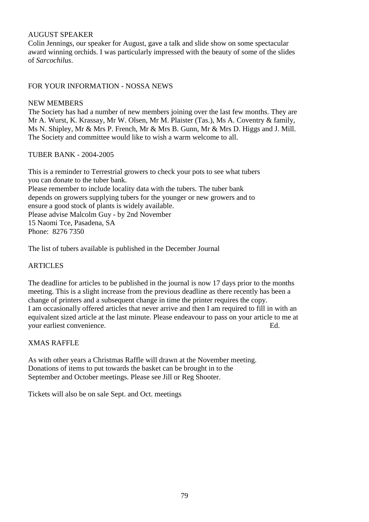## AUGUST SPEAKER

Colin Jennings, our speaker for August, gave a talk and slide show on some spectacular award winning orchids. I was particularly impressed with the beauty of some of the slides of *Sarcochilus*.

## FOR YOUR INFORMATION - NOSSA NEWS

### NEW MEMBERS

The Society has had a number of new members joining over the last few months. They are Mr A. Wurst, K. Krassay, Mr W. Olsen, Mr M. Plaister (Tas.), Ms A. Coventry & family, Ms N. Shipley, Mr & Mrs P. French, Mr & Mrs B. Gunn, Mr & Mrs D. Higgs and J. Mill. The Society and committee would like to wish a warm welcome to all.

## TUBER BANK - 2004-2005

This is a reminder to Terrestrial growers to check your pots to see what tubers you can donate to the tuber bank. Please remember to include locality data with the tubers. The tuber bank depends on growers supplying tubers for the younger or new growers and to ensure a good stock of plants is widely available. Please advise Malcolm Guy - by 2nd November 15 Naomi Tce, Pasadena, SA Phone: 8276 7350

The list of tubers available is published in the December Journal

## ARTICLES

The deadline for articles to be published in the journal is now 17 days prior to the months meeting. This is a slight increase from the previous deadline as there recently has been a change of printers and a subsequent change in time the printer requires the copy. I am occasionally offered articles that never arrive and then I am required to fill in with an equivalent sized article at the last minute. Please endeavour to pass on your article to me at your earliest convenience. Ed.

## XMAS RAFFLE

As with other years a Christmas Raffle will drawn at the November meeting. Donations of items to put towards the basket can be brought in to the September and October meetings. Please see Jill or Reg Shooter.

Tickets will also be on sale Sept. and Oct. meetings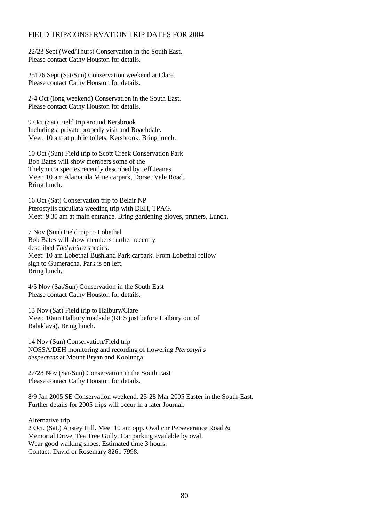## FIELD TRIP/CONSERVATION TRIP DATES FOR 2004

22/23 Sept (Wed/Thurs) Conservation in the South East. Please contact Cathy Houston for details.

25126 Sept (Sat/Sun) Conservation weekend at Clare. Please contact Cathy Houston for details.

2-4 Oct (long weekend) Conservation in the South East. Please contact Cathy Houston for details.

9 Oct (Sat) Field trip around Kersbrook Including a private properly visit and Roachdale. Meet: 10 am at public toilets, Kersbrook. Bring lunch.

10 Oct (Sun) Field trip to Scott Creek Conservation Park Bob Bates will show members some of the Thelymitra species recently described by Jeff Jeanes. Meet: 10 am Alamanda Mine carpark, Dorset Vale Road. Bring lunch.

16 Oct (Sat) Conservation trip to Belair NP Pterostylis cucullata weeding trip with DEH, TPAG. Meet: 9.30 am at main entrance. Bring gardening gloves, pruners, Lunch,

7 Nov (Sun) Field trip to Lobethal Bob Bates will show members further recently described *Thelymitra* species. Meet: 10 am Lobethal Bushland Park carpark. From Lobethal follow sign to Gumeracha. Park is on left. Bring lunch.

4/5 Nov (Sat/Sun) Conservation in the South East Please contact Cathy Houston for details.

13 Nov (Sat) Field trip to Halbury/Clare Meet: 10am Halbury roadside (RHS just before Halbury out of Balaklava). Bring lunch.

14 Nov (Sun) Conservation/Field trip NOSSA/DEH monitoring and recording of flowering *Pterostyli s despectans* at Mount Bryan and Koolunga.

27/28 Nov (Sat/Sun) Conservation in the South East Please contact Cathy Houston for details.

8/9 Jan 2005 SE Conservation weekend. 25-28 Mar 2005 Easter in the South-East. Further details for 2005 trips will occur in a later Journal.

Alternative trip 2 Oct. (Sat.) Anstey Hill. Meet 10 am opp. Oval cnr Perseverance Road & Memorial Drive, Tea Tree Gully. Car parking available by oval. Wear good walking shoes. Estimated time 3 hours. Contact: David or Rosemary 8261 7998.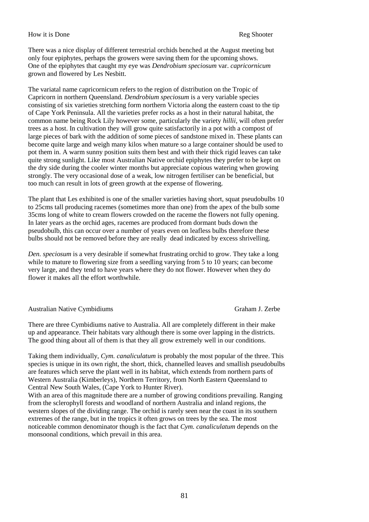#### How it is Done Reg Shooter

There was a nice display of different terrestrial orchids benched at the August meeting but only four epiphytes, perhaps the growers were saving them for the upcoming shows. One of the epiphytes that caught my eye was *Dendrobium speciosum* var. *capricornicum* grown and flowered by Les Nesbitt.

The variatal name capricornicum refers to the region of distribution on the Tropic of Capricorn in northern Queensland. *Dendrobium speciosum* is a very variable species consisting of six varieties stretching form northern Victoria along the eastern coast to the tip of Cape York Peninsula. All the varieties prefer rocks as a host in their natural habitat, the common name being Rock Lily however some, particularly the variety *hillii*, will often prefer trees as a host. In cultivation they will grow quite satisfactorily in a pot with a compost of large pieces of bark with the addition of some pieces of sandstone mixed in. These plants can become quite large and weigh many kilos when mature so a large container should be used to pot them in. A warm sunny position suits them best and with their thick rigid leaves can take quite strong sunlight. Like most Australian Native orchid epiphytes they prefer to be kept on the dry side during the cooler winter months but appreciate copious watering when growing strongly. The very occasional dose of a weak, low nitrogen fertiliser can be beneficial, but too much can result in lots of green growth at the expense of flowering.

The plant that Les exhibited is one of the smaller varieties having short, squat pseudobulbs 10 to 25cms tall producing racemes (sometimes more than one) from the apex of the bulb some 35cms long of white to cream flowers crowded on the raceme the flowers not fully opening. In later years as the orchid ages, racemes are produced from dormant buds down the pseudobulb, this can occur over a number of years even on leafless bulbs therefore these bulbs should not be removed before they are really dead indicated by excess shrivelling.

*Den. speciosum* is a very desirable if somewhat frustrating orchid to grow. They take a long while to mature to flowering size from a seedling varying from 5 to 10 years; can become very large, and they tend to have years where they do not flower. However when they do flower it makes all the effort worthwhile.

#### Australian Native Cymbidiums Graham J. Zerbe

There are three Cymbidiums native to Australia. All are completely different in their make up and appearance. Their habitats vary although there is some over lapping in the districts. The good thing about all of them is that they all grow extremely well in our conditions.

Taking them individually, *Cym. canaliculatum* is probably the most popular of the three. This species is unique in its own right, the short, thick, channelled leaves and smallish pseudobulbs are features which serve the plant well in its habitat, which extends from northern parts of Western Australia (Kimberleys), Northern Territory, from North Eastern Queensland to Central New South Wales, (Cape York to Hunter River).

With an area of this magnitude there are a number of growing conditions prevailing. Ranging from the sclerophyll forests and woodland of northern Australia and inland regions, the western slopes of the dividing range. The orchid is rarely seen near the coast in its southern extremes of the range, but in the tropics it often grows on trees by the sea. The most noticeable common denominator though is the fact that *Cym. canaliculatum* depends on the monsoonal conditions, which prevail in this area.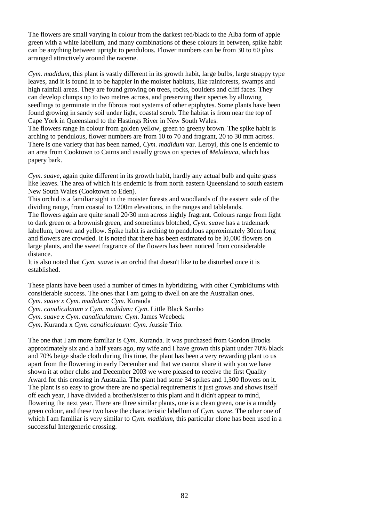The flowers are small varying in colour from the darkest red/black to the Alba form of apple green with a white labellum, and many combinations of these colours in between, spike habit can be anything between upright to pendulous. Flower numbers can be from 30 to 60 plus arranged attractively around the raceme.

*Cym. madidum*, this plant is vastly different in its growth habit, large bulbs, large strappy type leaves, and it is found in to be happier in the moister habitats, like rainforests, swamps and high rainfall areas. They are found growing on trees, rocks, boulders and cliff faces. They can develop clumps up to two metres across, and preserving their species by allowing seedlings to germinate in the fibrous root systems of other epiphytes. Some plants have been found growing in sandy soil under light, coastal scrub. The habitat is from near the top of Cape York in Queensland to the Hastings River in New South Wales. The flowers range in colour from golden yellow, green to greeny brown. The spike habit is

arching to pendulous, flower numbers are from 10 to 70 and fragrant, 20 to 30 mm across. There is one variety that has been named, *Cym. madidum* var. Leroyi, this one is endemic to an area from Cooktown to Cairns and usually grows on species of *Melaleuca*, which has papery bark.

*Cym. suave*, again quite different in its growth habit, hardly any actual bulb and quite grass like leaves. The area of which it is endemic is from north eastern Queensland to south eastern New South Wales (Cooktown to Eden).

This orchid is a familiar sight in the moister forests and woodlands of the eastern side of the dividing range, from coastal to 1200m elevations, in the ranges and tablelands.

The flowers again are quite small 20/30 mm across highly fragrant. Colours range from light to dark green or a brownish green, and sometimes blotched, *Cym. suave* has a trademark labellum, brown and yellow. Spike habit is arching to pendulous approximately 30cm long and flowers are crowded. It is noted that there has been estimated to be l0,000 flowers on large plants, and the sweet fragrance of the flowers has been noticed from considerable distance.

It is also noted that *Cym. suave* is an orchid that doesn't like to be disturbed once it is established.

These plants have been used a number of times in hybridizing, with other Cymbidiums with considerable success. The ones that I am going to dwell on are the Australian ones. *Cym. suave x Cym. madidum: Cym*. Kuranda

*Cym. canaliculatum x Cym. madidum: Cym*. Little Black Sambo

*Cym. suave x Cym. canaliculatum: Cym*. James Weebeck

*Cym*. Kuranda x *Cym. canaliculatum: Cym*. Aussie Trio.

The one that I am more familiar is *Cym*. Kuranda. It was purchased from Gordon Brooks approximately six and a half years ago, my wife and I have grown this plant under 70% black and 70% beige shade cloth during this time, the plant has been a very rewarding plant to us apart from the flowering in early December and that we cannot share it with you we have shown it at other clubs and December 2003 we were pleased to receive the first Quality Award for this crossing in Australia. The plant had some 34 spikes and 1,300 flowers on it. The plant is so easy to grow there are no special requirements it just grows and shows itself off each year, I have divided a brother/sister to this plant and it didn't appear to mind, flowering the next year. There are three similar plants, one is a clean green, one is a muddy green colour, and these two have the characteristic labellum of *Cym. suave*. The other one of which I am familiar is very similar to *Cym. madidum*, this particular clone has been used in a successful Intergeneric crossing.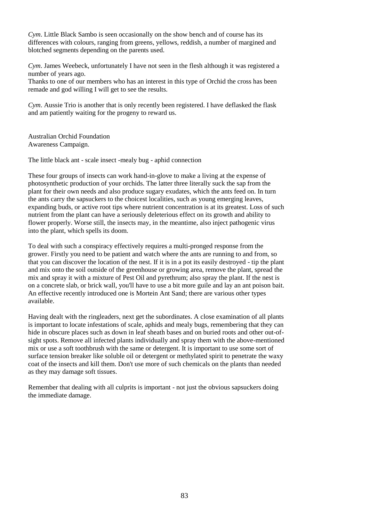*Cym*. Little Black Sambo is seen occasionally on the show bench and of course has its differences with colours, ranging from greens, yellows, reddish, a number of margined and blotched segments depending on the parents used.

*Cym*. James Weebeck, unfortunately I have not seen in the flesh although it was registered a number of years ago.

Thanks to one of our members who has an interest in this type of Orchid the cross has been remade and god willing I will get to see the results.

*Cym*. Aussie Trio is another that is only recently been registered. I have deflasked the flask and am patiently waiting for the progeny to reward us.

Australian Orchid Foundation Awareness Campaign.

The little black ant - scale insect -mealy bug - aphid connection

These four groups of insects can work hand-in-glove to make a living at the expense of photosynthetic production of your orchids. The latter three literally suck the sap from the plant for their own needs and also produce sugary exudates, which the ants feed on. In turn the ants carry the sapsuckers to the choicest localities, such as young emerging leaves, expanding buds, or active root tips where nutrient concentration is at its greatest. Loss of such nutrient from the plant can have a seriously deleterious effect on its growth and ability to flower properly. Worse still, the insects may, in the meantime, also inject pathogenic virus into the plant, which spells its doom.

To deal with such a conspiracy effectively requires a multi-pronged response from the grower. Firstly you need to be patient and watch where the ants are running to and from, so that you can discover the location of the nest. If it is in a pot its easily destroyed - tip the plant and mix onto the soil outside of the greenhouse or growing area, remove the plant, spread the mix and spray it with a mixture of Pest Oil and pyrethrum; also spray the plant. If the nest is on a concrete slab, or brick wall, you'll have to use a bit more guile and lay an ant poison bait. An effective recently introduced one is Mortein Ant Sand; there are various other types available.

Having dealt with the ringleaders, next get the subordinates. A close examination of all plants is important to locate infestations of scale, aphids and mealy bugs, remembering that they can hide in obscure places such as down in leaf sheath bases and on buried roots and other out-ofsight spots. Remove all infected plants individually and spray them with the above-mentioned mix or use a soft toothbrush with the same or detergent. It is important to use some sort of surface tension breaker like soluble oil or detergent or methylated spirit to penetrate the waxy coat of the insects and kill them. Don't use more of such chemicals on the plants than needed as they may damage soft tissues.

Remember that dealing with all culprits is important - not just the obvious sapsuckers doing the immediate damage.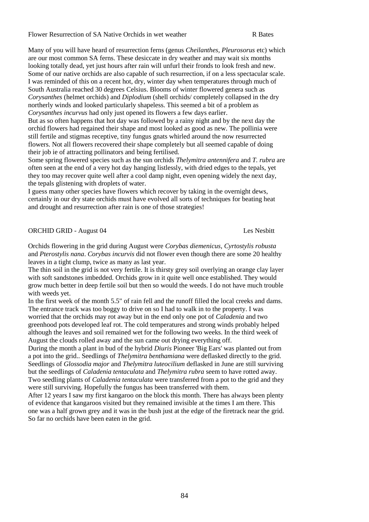Many of you will have heard of resurrection ferns (genus *Cheilanthes, Pleurosorus* etc) which are our most common SA ferns. These desiccate in dry weather and may wait six months looking totally dead, yet just hours after rain will unfurl their fronds to look fresh and new. Some of our native orchids are also capable of such resurrection, if on a less spectacular scale. I was reminded of this on a recent hot, dry, winter day when temperatures through much of South Australia reached 30 degrees Celsius. Blooms of winter flowered genera such as *Corysanthes* (helmet orchids) and *Diplodium* (shell orchids/ completely collapsed in the dry northerly winds and looked particularly shapeless. This seemed a bit of a problem as *Corysanthes incurvus* had only just opened its flowers a few days earlier. But as so often happens that hot day was followed by a rainy night and by the next day the orchid flowers had regained their shape and most looked as good as new. The pollinia were

still fertile and stigmas receptive, tiny fungus gnats whirled around the now resurrected flowers. Not all flowers recovered their shape completely but all seemed capable of doing their job ie of attracting pollinators and being fertilised.

Some spring flowered species such as the sun orchids *Thelymitra antennifera* and *T. rubra* are often seen at the end of a very hot day hanging listlessly, with dried edges to the tepals, yet they too may recover quite well after a cool damp night, even opening widely the next day, the tepals glistening with droplets of water.

I guess many other species have flowers which recover by taking in the overnight dews, certainly in our dry state orchids must have evolved all sorts of techniques for beating heat and drought and resurrection after rain is one of those strategies!

ORCHID GRID - August 04 Les Nesbitt

Orchids flowering in the grid during August were *Corybas diemenicus*, *Cyrtostylis robusta* and *Pterostylis nana*. *Corybas incurvis* did not flower even though there are some 20 healthy leaves in a tight clump, twice as many as last year.

The thin soil in the grid is not very fertile. It is thirsty grey soil overlying an orange clay layer with soft sandstones imbedded. Orchids grow in it quite well once established. They would grow much better in deep fertile soil but then so would the weeds. I do not have much trouble with weeds yet.

In the first week of the month 5.5" of rain fell and the runoff filled the local creeks and dams. The entrance track was too boggy to drive on so I had to walk in to the property. I was worried that the orchids may rot away but in the end only one pot of *Caladenia* and two greenhood pots developed leaf rot. The cold temperatures and strong winds probably helped although the leaves and soil remained wet for the following two weeks. In the third week of August the clouds rolled away and the sun came out drying everything off.

During the month a plant in bud of the hybrid *Diuris* Pioneer 'Big Ears' was planted out from a pot into the grid.. Seedlings of *Thelymitra benthamiana* were deflasked directly to the grid. Seedlings of *Glossodia major* and *Thelymitra luteocilium* deflasked in June are still surviving but the seedlings of *Caladenia tentaculata* and *Thelymitra rubra* seem to have rotted away. Two seedling plants of *Caladenia tentaculata* were transferred from a pot to the grid and they were still surviving. Hopefully the fungus has been transferred with them.

After 12 years I saw my first kangaroo on the block this month. There has always been plenty of evidence that kangaroos visited but they remained invisible at the times I am there. This one was a half grown grey and it was in the bush just at the edge of the firetrack near the grid. So far no orchids have been eaten in the grid.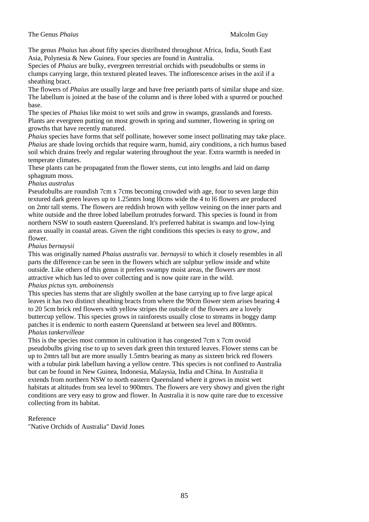#### **The Genus** *Phaius* Malcolm Guy

The genus *Phaius* has about fifty species distributed throughout Africa, India, South East Asia, Polynesia & New Guinea. Four species are found in Australia.

Species of *Phaius* are bulky, evergreen terrestrial orchids with pseudobulbs or stems in clumps carrying large, thin textured pleated leaves. The inflorescence arises in the axil if a sheathing bract.

The flowers of *Phaius* are usually large and have free perianth parts of similar shape and size. The labellum is joined at the base of the column and is three lobed with a spurred or pouched base.

The species of *Phaius* like moist to wet soils and grow in swamps, grasslands and forests. Plants are evergreen putting on most growth in spring and summer, flowering in spring on growths that have recently matured.

*Phaius* species have forms that self pollinate, however some insect pollinating may take place. *Phaius* are shade loving orchids that require warm, humid, airy conditions, a rich humus based soil which drains freely and regular watering throughout the year. Extra warmth is needed in temperate climates.

These plants can be propagated from the flower stems, cut into lengths and laid on damp sphagnum moss.

#### *Phaius australus*

Pseudobulbs are roundish 7cm x 7cms becoming crowded with age, four to seven large thin textured dark green leaves up to 1.25mtrs long l0cms wide the 4 to l6 flowers are produced on 2mtr tall stems. The flowers are reddish brown with yellow veining on the inner parts and white outside and the three lobed labellum protrudes forward. This species is found in from northern NSW to south eastern Queensland. It's preferred habitat is swamps and low-lying areas usually in coastal areas. Given the right conditions this species is easy to grow, and flower.

#### *Phaius bernaysii*

This was originally named *Phaius australis* var. *bernaysii* to which it closely resembles in all parts the difference can be seen in the flowers which are sulphur yellow inside and white outside. Like others of this genus it prefers swampy moist areas, the flowers are most attractive which has led to over collecting and is now quite rare in the wild.

#### *Phaius pictus* syn. *amboinensis*

This species has stems that are slightly swollen at the base carrying up to five large apical leaves it has two distinct sheathing bracts from where the 90cm flower stem arises bearing 4 to 20 5cm brick red flowers with yellow stripes the outside of the flowers are a lovely buttercup yellow. This species grows in rainforests usually close to streams in boggy damp patches it is endemic to north eastern Queensland at between sea level and 800mtrs. *Phaius tankervilleae*

This is the species most common in cultivation it has congested 7cm x 7cm ovoid pseudobulbs giving rise to up to seven dark green thin textured leaves. Flower stems can be up to 2mtrs tall but are more usually 1.5mtrs bearing as many as sixteen brick red flowers with a tubular pink labellum having a yellow centre. This species is not confined to Australia but can be found in New Guinea, Indonesia, Malaysia, India and China. In Australia it extends from northern NSW to north eastern Queensland where it grows in moist wet habitats at altitudes from sea level to 900mtrs. The flowers are very showy and given the right conditions are very easy to grow and flower. In Australia it is now quite rare due to excessive collecting from its habitat.

### Reference

"Native Orchids of Australia" David Jones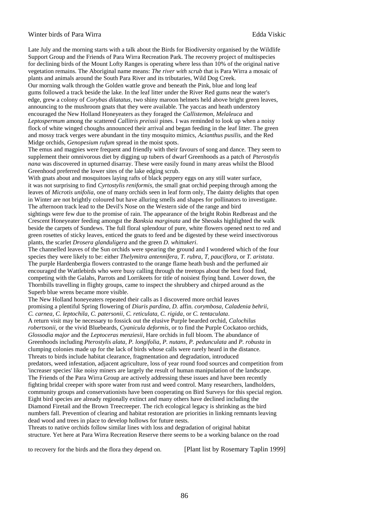#### Winter birds of Para Wirra **Edda Viskic Edda Viskic Edda Viskic**

Late July and the morning starts with a talk about the Birds for Biodiversity organised by the Wildlife Support Group and the Friends of Para Wirra Recreation Park. The recovery project of multispecies for declining birds of the Mount Lofty Ranges is operating where less than 10% of the original native vegetation remains. The Aboriginal name means: *The river with scrub* that is Para Wirra a mosaic of plants and animals around the South Para River and its tributaries, Wild Dog Creek. Our morning walk through the Golden wattle grove and beneath the Pink, blue and long leaf gums followed a track beside the lake. In the leaf litter under the River Red gums near the water's edge, grew a colony of *Corybas dilatatus*, two shiny maroon helmets held above bright green leaves, announcing to the mushroom gnats that they were available. The yaccas and heath understory encouraged the New Holland Honeyeaters as they foraged the *Callistemon, Melaleuca* and *Leptospermum* among the scattered *Callitris preissii* pines. I was reminded to look up when a noisy flock of white winged choughs announced their arrival and began feeding in the leaf litter. The green and mossy track verges were abundant in the tiny mosquito mimics, *Acianthus pusilis*, and the Red Midge orchids, *Genopesium rufum* spread in the moist spots.

The emus and magpies were frequent and friendly with their favours of song and dance. They seem to supplement their omnivorous diet by digging up tubers of dwarf Greenhoods as a patch of *Pterostylis nana* was discovered in upturned disarray. These were easily found in many areas whilst the Blood Greenhood preferred the lower sites of the lake edging scrub.

With gnats about and mosquitoes laying rafts of black peppery eggs on any still water surface, it was not surprising to find *Cyrtostylis reniformis*, the small gnat orchid peeping through among the leaves of *Microtis unifolia*, one of many orchids seen in leaf form only, The dainty delights that open in Winter are not brightly coloured but have alluring smells and shapes for pollinators to investigate. The afternoon track lead to the Devil's Nose on the Western side of the range and bird

sightings were few due to the promise of rain. The appearance of the bright Robin Redbreast and the Crescent Honeyeater feeding amongst the *Banksia marginata* and the Sheoaks highlighted the walk beside the carpets of Sundews. The full floral splendour of pure, white flowers opened next to red and green rosettes of sticky leaves, enticed the gnats to feed and be digested by these weird insectivorous plants, the scarlet *Drosera glanduligera* and the green *D. whittakeri*.

The channelled leaves of the Sun orchids were spearing the ground and I wondered which of the four species they were likely to be: either *Thelymitra antennifera, T. rubra, T, pauciflora*, or *T. aristata*. The purple Hardenbergia flowers contrasted to the orange flame heath bush and the perfumed air encouraged the Wattlebirds who were busy calling through the treetops about the best food find, competing with the Galahs, Parrots and Lorrikeets for title of noisiest flying band. Lower down, the Thornbills travelling in flighty groups, came to inspect the shrubbery and chirped around as the Superb blue wrens became more visible.

The New Holland honeyeaters repeated their calls as I discovered more orchid leaves promising a plentiful Spring flowering of *Diuris pardina, D.* affin. *corymbosa, Caladenia behrii, C. carnea, C. leptochila, C. patersonii, C. reticulata, C. rigida*, or *C. tentaculata*.

A return visit may be necessary to fossick out the elusive Purple bearded orchid, *Calochilus robertsonii*, or the vivid Bluebeards, *Cyanicula deformis*, or to find the Purple Cockatoo orchids, *Glossodia major* and the *Leptoceras menziesii*, Hare orchids in full bloom. The abundance of Greenhoods including *Pterostylis alata, P. longifolia, P. nutans, P. pedunculata* and *P. robusta* in clumping colonies made up for the lack of birds whose calls were rarely heard in the distance. Threats to birds include habitat clearance, fragmentation and degradation, introduced predators, weed infestation, adjacent agriculture, loss of year round food sources and competition from 'increaser species' like noisy miners are largely the result of human manipulation of the landscape. The Friends of the Para Wirra Group are actively addressing these issues and have been recently fighting bridal creeper with spore water from rust and weed control. Many researchers, landholders, community groups and conservationists have been cooperating on Bird Surveys for this special region. Eight bird species are already regionally extinct and many others have declined including the Diamond Firetail and the Brown Treecreeper. The rich ecological legacy is shrinking as the bird numbers fall. Prevention of clearing and habitat restoration are priorities in linking remnants leaving dead wood and trees in place to develop hollows for future nests.

Threats to native orchids follow similar lines with loss and degradation of original habitat structure. Yet here at Para Wirra Recreation Reserve there seems to be a working balance on the road

to recovery for the birds and the flora they depend on. [Plant list by Rosemary Taplin 1999]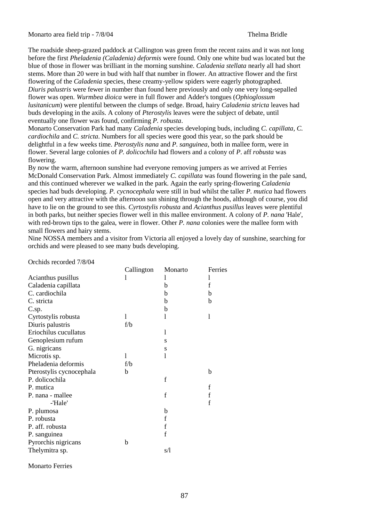Monarto area field trip - 7/8/04 Thelma Bridle

The roadside sheep-grazed paddock at Callington was green from the recent rains and it was not long before the first *Pheladenia (Caladenia) deformis* were found. Only one white bud was located but the blue of those in flower was brilliant in the morning sunshine. *Caladenia stellata* nearly all had short stems. More than 20 were in bud with half that number in flower. An attractive flower and the first flowering of the *Caladenia* species, these creamy-yellow spiders were eagerly photographed. *Diuris palustris* were fewer in number than found here previously and only one very long-sepalled flower was open. *Wurmbea dioica* were in full flower and Adder's tongues (*Ophioglossum lusitanicum*) were plentiful between the clumps of sedge. Broad, hairy *Caladenia stricta* leaves had buds developing in the axils. A colony of *Pterostylis* leaves were the subject of debate, until eventually one flower was found, confirming *P. robusta*.

Monarto Conservation Park had many *Caladenia* species developing buds, including *C. capillata, C. cardiochila* and *C. stricta*. Numbers for all species were good this year, so the park should be delightful in a few weeks time. *Pterostylis nana* and *P. sanguinea*, both in mallee form, were in flower. Several large colonies of *P. dolicochila* had flowers and a colony of *P*. aff *robusta* was flowering.

By now the warm, afternoon sunshine had everyone removing jumpers as we arrived at Ferries McDonald Conservation Park. Almost immediately *C. capillata* was found flowering in the pale sand, and this continued wherever we walked in the park. Again the early spring-flowering *Caladenia* species had buds developing. *P. cycnocephala* were still in bud whilst the taller *P. mutica* had flowers open and very attractive with the afternoon sun shining through the hoods, although of course, you did have to lie on the ground to see this. *Cyrtostylis robusta* and *Acianthus pusillus* leaves were plentiful in both parks, but neither species flower well in this mallee environment. A colony of *P. nana* 'Hale', with red-brown tips to the galea, were in flower. Other *P. nana* colonies were the mallee form with small flowers and hairy stems.

Nine NOSSA members and a visitor from Victoria all enjoyed a lovely day of sunshine, searching for orchids and were pleased to see many buds developing.

Orchids recorded 7/8/04

|                          | Callington | Monarto     | Ferries |
|--------------------------|------------|-------------|---------|
| Acianthus pusillus       | I          |             | 1       |
| Caladenia capillata      |            | b           | f       |
| C. cardiochila           |            | b           | b       |
| C. stricta               |            | b           | b       |
| $C.\text{sp}$ .          |            | b           |         |
| Cyrtostylis robusta      | 1          | 1           | 1       |
| Diuris palustris         | f/b        |             |         |
| Eriochilus cucullatus    |            | 1           |         |
| Genoplesium rufum        |            | S           |         |
| G. nigricans             |            | S           |         |
| Microtis sp.             | 1          | 1           |         |
| Pheladenia deformis      | f/b        |             |         |
| Pterostylis cycnocephala | b          |             | b       |
| P. dolicochila           |            | $\mathbf f$ |         |
| P. mutica                |            |             | f       |
| P. nana - mallee         |            | $\mathbf f$ | f       |
| -'Hale'                  |            |             | f       |
| P. plumosa               |            | b           |         |
| P. robusta               |            | $\mathbf f$ |         |
| P. aff. robusta          |            | $\mathbf f$ |         |
| P. sanguinea             |            | $\mathbf f$ |         |
| Pyrorchis nigricans      | b          |             |         |
| Thelymitra sp.           |            | s/l         |         |
|                          |            |             |         |

Monarto Ferries